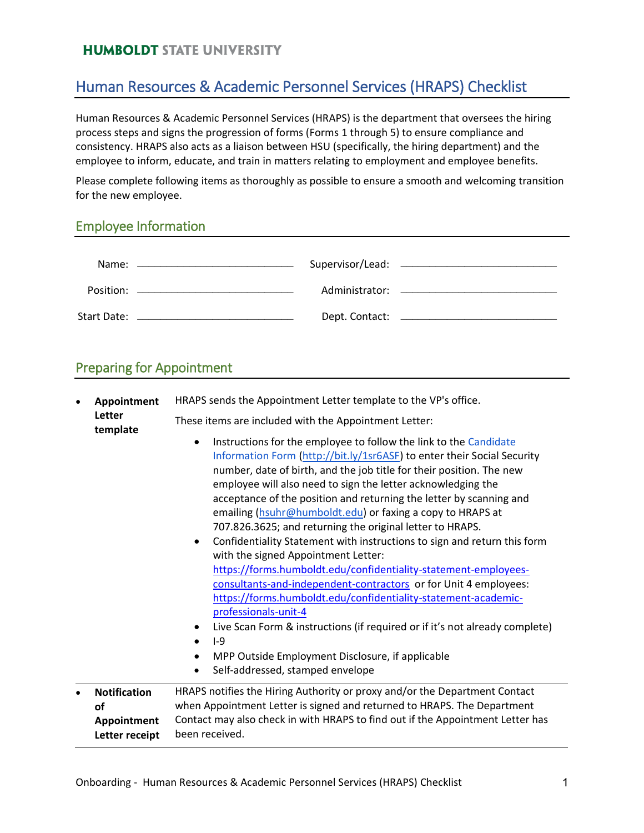#### **HUMBOLDT STATE UNIVERSITY**

## Human Resources & Academic Personnel Services (HRAPS) Checklist

Human Resources & Academic Personnel Services (HRAPS) is the department that oversees the hiring process steps and signs the progression of forms (Forms 1 through 5) to ensure compliance and consistency. HRAPS also acts as a liaison between HSU (specifically, the hiring department) and the employee to inform, educate, and train in matters relating to employment and employee benefits.

Please complete following items as thoroughly as possible to ensure a smooth and welcoming transition for the new employee.

#### Employee Information

#### Preparing for Appointment

| Appointment<br>Letter<br>template                          | HRAPS sends the Appointment Letter template to the VP's office.                                                                                                                                                                                                                                                                                                                                                                                                                                                                                                                                                                                                                                                                                                                                                                                                                                                                                                                                                                                                       |
|------------------------------------------------------------|-----------------------------------------------------------------------------------------------------------------------------------------------------------------------------------------------------------------------------------------------------------------------------------------------------------------------------------------------------------------------------------------------------------------------------------------------------------------------------------------------------------------------------------------------------------------------------------------------------------------------------------------------------------------------------------------------------------------------------------------------------------------------------------------------------------------------------------------------------------------------------------------------------------------------------------------------------------------------------------------------------------------------------------------------------------------------|
|                                                            | These items are included with the Appointment Letter:                                                                                                                                                                                                                                                                                                                                                                                                                                                                                                                                                                                                                                                                                                                                                                                                                                                                                                                                                                                                                 |
|                                                            | Instructions for the employee to follow the link to the Candidate<br>$\bullet$<br>Information Form (http://bit.ly/1sr6ASF) to enter their Social Security<br>number, date of birth, and the job title for their position. The new<br>employee will also need to sign the letter acknowledging the<br>acceptance of the position and returning the letter by scanning and<br>emailing (hsuhr@humboldt.edu) or faxing a copy to HRAPS at<br>707.826.3625; and returning the original letter to HRAPS.<br>Confidentiality Statement with instructions to sign and return this form<br>$\bullet$<br>with the signed Appointment Letter:<br>https://forms.humboldt.edu/confidentiality-statement-employees-<br>consultants-and-independent-contractors or for Unit 4 employees:<br>https://forms.humboldt.edu/confidentiality-statement-academic-<br>professionals-unit-4<br>Live Scan Form & instructions (if required or if it's not already complete)<br>$-9$<br>MPP Outside Employment Disclosure, if applicable<br>٠<br>Self-addressed, stamped envelope<br>$\bullet$ |
| <b>Notification</b><br>οf<br>Appointment<br>Letter receipt | HRAPS notifies the Hiring Authority or proxy and/or the Department Contact<br>when Appointment Letter is signed and returned to HRAPS. The Department<br>Contact may also check in with HRAPS to find out if the Appointment Letter has<br>been received.                                                                                                                                                                                                                                                                                                                                                                                                                                                                                                                                                                                                                                                                                                                                                                                                             |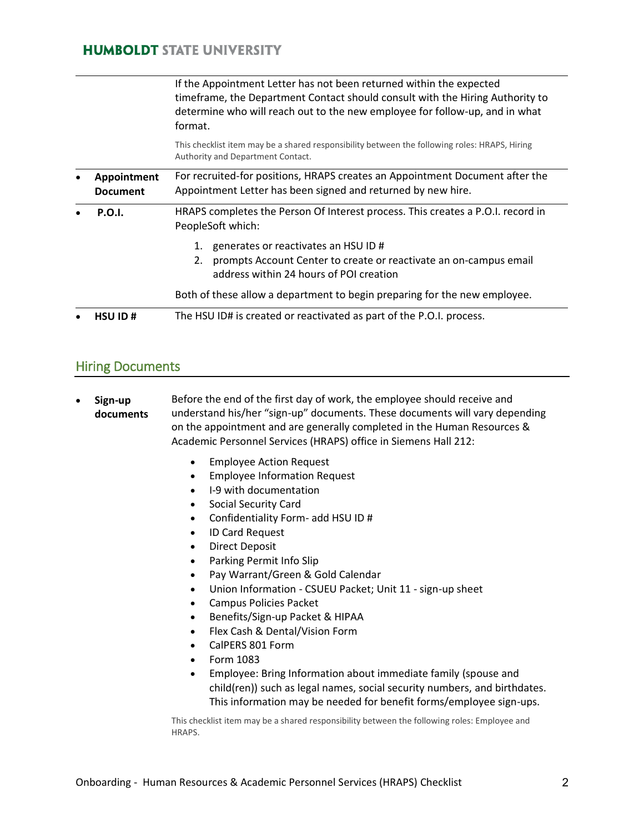#### **HUMBOLDT STATE UNIVERSITY**

|                                | If the Appointment Letter has not been returned within the expected<br>timeframe, the Department Contact should consult with the Hiring Authority to<br>determine who will reach out to the new employee for follow-up, and in what<br>format. |
|--------------------------------|------------------------------------------------------------------------------------------------------------------------------------------------------------------------------------------------------------------------------------------------|
|                                | This checklist item may be a shared responsibility between the following roles: HRAPS, Hiring<br>Authority and Department Contact.                                                                                                             |
| Appointment<br><b>Document</b> | For recruited-for positions, HRAPS creates an Appointment Document after the<br>Appointment Letter has been signed and returned by new hire.                                                                                                   |
| <b>P.O.I.</b>                  | HRAPS completes the Person Of Interest process. This creates a P.O.I. record in<br>PeopleSoft which:                                                                                                                                           |
|                                | generates or reactivates an HSU ID #<br>1.<br>prompts Account Center to create or reactivate an on-campus email<br>2.<br>address within 24 hours of POI creation                                                                               |
|                                | Both of these allow a department to begin preparing for the new employee.                                                                                                                                                                      |
| <b>HSU ID#</b>                 | The HSU ID# is created or reactivated as part of the P.O.I. process.                                                                                                                                                                           |

#### Hiring Documents

- **Sign-up documents** Before the end of the first day of work, the employee should receive and understand his/her "sign-up" documents. These documents will vary depending on the appointment and are generally completed in the Human Resources & Academic Personnel Services (HRAPS) office in Siemens Hall 212:
	- Employee Action Request
	- Employee Information Request
	- I-9 with documentation
	- Social Security Card
	- Confidentiality Form- add HSU ID #
	- ID Card Request
	- Direct Deposit
	- Parking Permit Info Slip
	- Pay Warrant/Green & Gold Calendar
	- Union Information CSUEU Packet; Unit 11 sign-up sheet
	- Campus Policies Packet
	- Benefits/Sign-up Packet & HIPAA
	- Flex Cash & Dental/Vision Form
	- CalPERS 801 Form
	- Form 1083
	- Employee: Bring Information about immediate family (spouse and child(ren)) such as legal names, social security numbers, and birthdates. This information may be needed for benefit forms/employee sign-ups.

This checklist item may be a shared responsibility between the following roles: Employee and HRAPS.